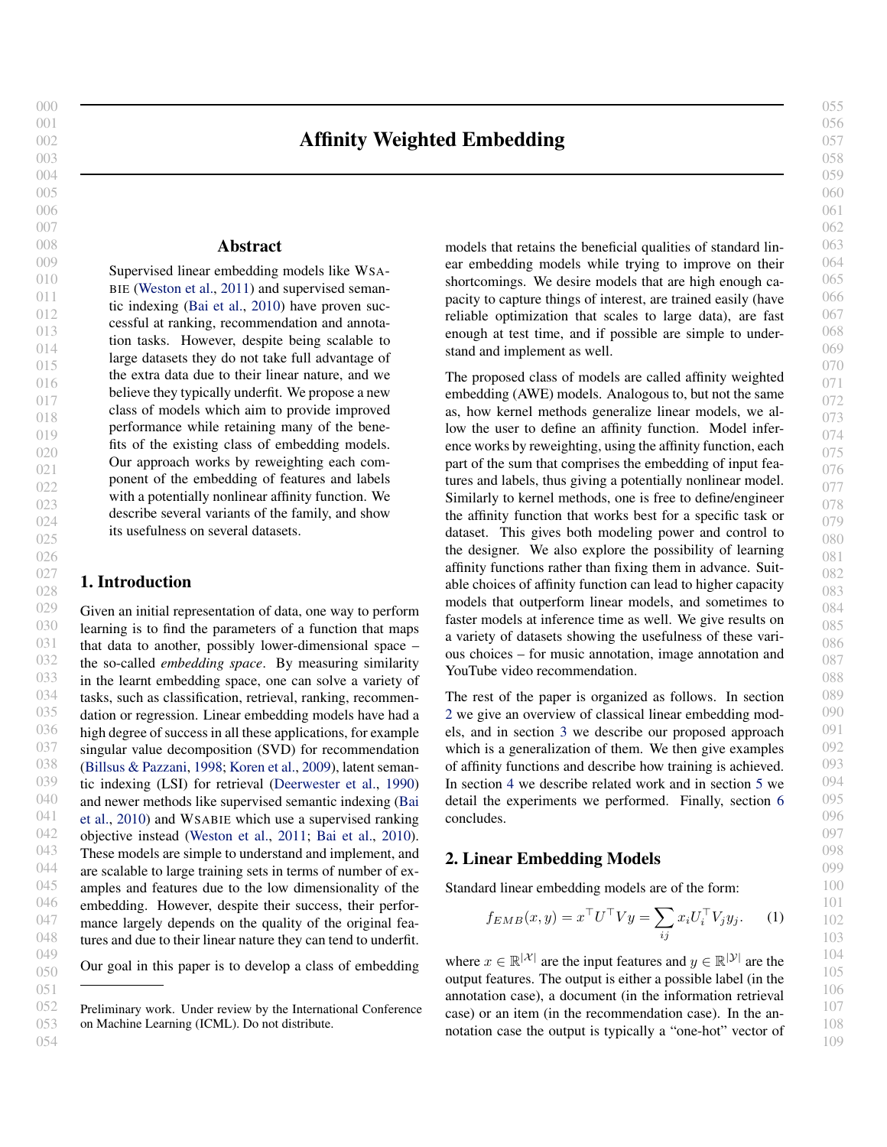055

# Affinity Weighted Embedding

## Abstract

<span id="page-0-0"></span>Supervised linear embedding models like WSA-BIE [\(Weston et al.,](#page-9-0) [2011\)](#page-9-0) and supervised semantic indexing [\(Bai et al.,](#page-7-0) [2010\)](#page-7-0) have proven successful at ranking, recommendation and annotation tasks. However, despite being scalable to large datasets they do not take full advantage of the extra data due to their linear nature, and we believe they typically underfit. We propose a new class of models which aim to provide improved performance while retaining many of the benefits of the existing class of embedding models. Our approach works by reweighting each component of the embedding of features and labels with a potentially nonlinear affinity function. We describe several variants of the family, and show its usefulness on several datasets.

## 1. Introduction

029 030 031 032 033 034 035 036 037 038 039 040 041 042 043 044 045 046 047 048 049 Given an initial representation of data, one way to perform learning is to find the parameters of a function that maps that data to another, possibly lower-dimensional space – the so-called *embedding space*. By measuring similarity in the learnt embedding space, one can solve a variety of tasks, such as classification, retrieval, ranking, recommendation or regression. Linear embedding models have had a high degree of success in all these applications, for example singular value decomposition (SVD) for recommendation [\(Billsus & Pazzani,](#page-8-0) [1998;](#page-8-0) [Koren et al.,](#page-8-0) [2009\)](#page-8-0), latent semantic indexing (LSI) for retrieval [\(Deerwester et al.,](#page-8-0) [1990\)](#page-8-0) and newer methods like supervised semantic indexing [\(Bai](#page-7-0) [et al.,](#page-7-0) [2010\)](#page-7-0) and WSABIE which use a supervised ranking objective instead [\(Weston et al.,](#page-9-0) [2011;](#page-9-0) [Bai et al.,](#page-7-0) [2010\)](#page-7-0). These models are simple to understand and implement, and are scalable to large training sets in terms of number of examples and features due to the low dimensionality of the embedding. However, despite their success, their performance largely depends on the quality of the original features and due to their linear nature they can tend to underfit.

050 Our goal in this paper is to develop a class of embedding

054

051

models that retains the beneficial qualities of standard linear embedding models while trying to improve on their shortcomings. We desire models that are high enough capacity to capture things of interest, are trained easily (have reliable optimization that scales to large data), are fast enough at test time, and if possible are simple to understand and implement as well.

The proposed class of models are called affinity weighted embedding (AWE) models. Analogous to, but not the same as, how kernel methods generalize linear models, we allow the user to define an affinity function. Model inference works by reweighting, using the affinity function, each part of the sum that comprises the embedding of input features and labels, thus giving a potentially nonlinear model. Similarly to kernel methods, one is free to define/engineer the affinity function that works best for a specific task or dataset. This gives both modeling power and control to the designer. We also explore the possibility of learning affinity functions rather than fixing them in advance. Suitable choices of affinity function can lead to higher capacity models that outperform linear models, and sometimes to faster models at inference time as well. We give results on a variety of datasets showing the usefulness of these various choices – for music annotation, image annotation and YouTube video recommendation.

The rest of the paper is organized as follows. In section 2 we give an overview of classical linear embedding models, and in section [3](#page-1-0) we describe our proposed approach which is a generalization of them. We then give examples of affinity functions and describe how training is achieved. In section [4](#page-5-0) we describe related work and in section [5](#page-5-0) we detail the experiments we performed. Finally, section [6](#page-7-0) concludes.

## 2. Linear Embedding Models

Standard linear embedding models are of the form:

$$
f_{EMB}(x,y) = x^{\top}U^{\top}Vy = \sum_{ij} x_i U_i^{\top} V_j y_j.
$$
 (1)

where  $x \in \mathbb{R}^{|\mathcal{X}|}$  are the input features and  $y \in \mathbb{R}^{|\mathcal{Y}|}$  are the output features. The output is either a possible label (in the annotation case), a document (in the information retrieval case) or an item (in the recommendation case). In the annotation case the output is typically a "one-hot" vector of

<sup>052</sup> 053 Preliminary work. Under review by the International Conference on Machine Learning (ICML). Do not distribute.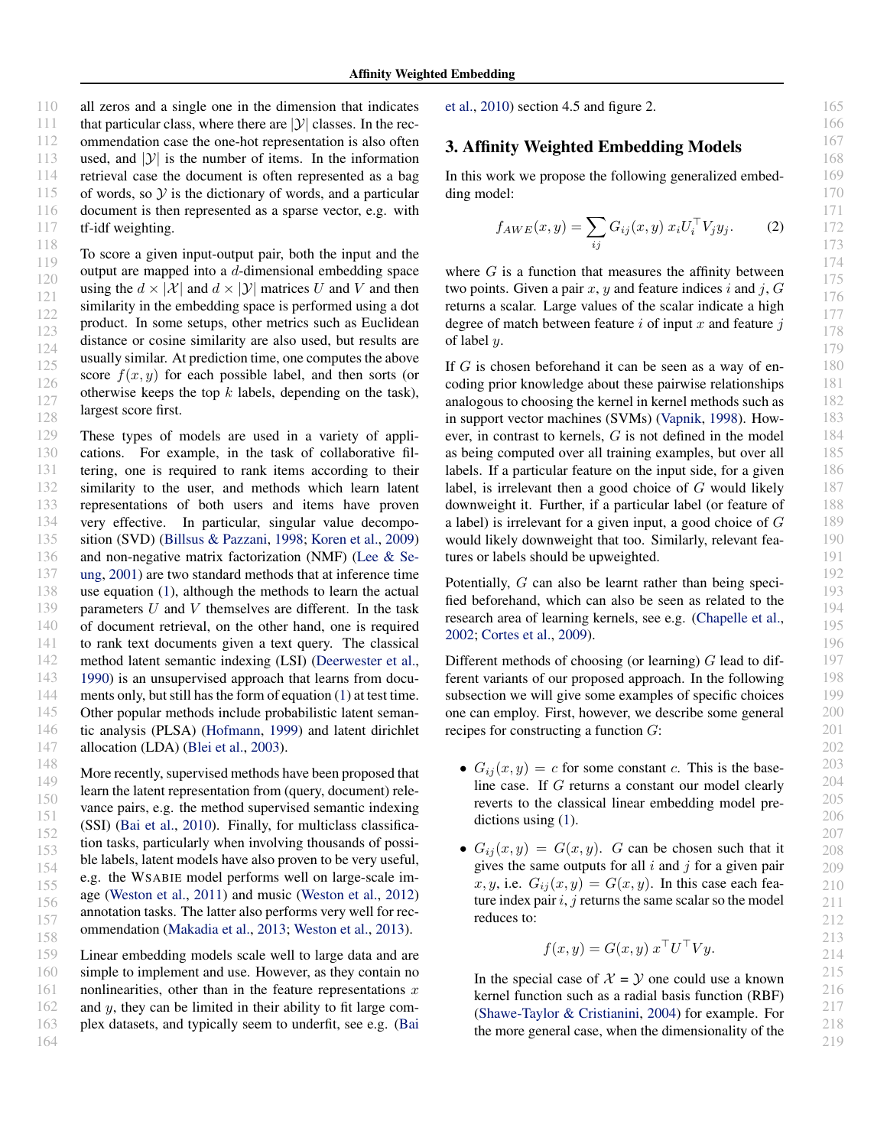<span id="page-1-0"></span>110 111 112 113 114 115 116 117 all zeros and a single one in the dimension that indicates that particular class, where there are  $|\mathcal{Y}|$  classes. In the recommendation case the one-hot representation is also often used, and  $|y|$  is the number of items. In the information retrieval case the document is often represented as a bag of words, so  $\mathcal Y$  is the dictionary of words, and a particular document is then represented as a sparse vector, e.g. with tf-idf weighting.

118 119 120 121 122 123 124 125 126 127 128 To score a given input-output pair, both the input and the output are mapped into a d-dimensional embedding space using the  $d \times |\mathcal{X}|$  and  $d \times |\mathcal{Y}|$  matrices U and V and then similarity in the embedding space is performed using a dot product. In some setups, other metrics such as Euclidean distance or cosine similarity are also used, but results are usually similar. At prediction time, one computes the above score  $f(x, y)$  for each possible label, and then sorts (or otherwise keeps the top  $k$  labels, depending on the task), largest score first.

129 130 131 132 133 134 135 136 137 138 139 140 141 142 143 144 145 146 147 These types of models are used in a variety of applications. For example, in the task of collaborative filtering, one is required to rank items according to their similarity to the user, and methods which learn latent representations of both users and items have proven very effective. In particular, singular value decomposition (SVD) [\(Billsus & Pazzani,](#page-8-0) [1998;](#page-8-0) [Koren et al.,](#page-8-0) [2009\)](#page-8-0) and non-negative matrix factorization (NMF) [\(Lee & Se](#page-8-0)[ung,](#page-8-0) [2001\)](#page-8-0) are two standard methods that at inference time use equation [\(1\)](#page-0-0), although the methods to learn the actual parameters  $U$  and  $V$  themselves are different. In the task of document retrieval, on the other hand, one is required to rank text documents given a text query. The classical method latent semantic indexing (LSI) [\(Deerwester et al.,](#page-8-0) [1990\)](#page-8-0) is an unsupervised approach that learns from documents only, but still has the form of equation [\(1\)](#page-0-0) at test time. Other popular methods include probabilistic latent semantic analysis (PLSA) [\(Hofmann,](#page-8-0) [1999\)](#page-8-0) and latent dirichlet allocation (LDA) [\(Blei et al.,](#page-8-0) [2003\)](#page-8-0).

148 149 150 151 152 153 154 155 156 157 158 More recently, supervised methods have been proposed that learn the latent representation from (query, document) relevance pairs, e.g. the method supervised semantic indexing (SSI) [\(Bai et al.,](#page-7-0) [2010\)](#page-7-0). Finally, for multiclass classification tasks, particularly when involving thousands of possible labels, latent models have also proven to be very useful, e.g. the WSABIE model performs well on large-scale image [\(Weston et al.,](#page-9-0) [2011\)](#page-9-0) and music [\(Weston et al.,](#page-9-0) [2012\)](#page-9-0) annotation tasks. The latter also performs very well for recommendation [\(Makadia et al.,](#page-8-0) [2013;](#page-8-0) [Weston et al.,](#page-9-0) [2013\)](#page-9-0).

159 160 161 162 163 164 Linear embedding models scale well to large data and are simple to implement and use. However, as they contain no nonlinearities, other than in the feature representations  $x$ and y, they can be limited in their ability to fit large complex datasets, and typically seem to underfit, see e.g. [\(Bai](#page-7-0) [et al.,](#page-7-0) [2010\)](#page-7-0) section 4.5 and figure 2.

## 3. Affinity Weighted Embedding Models

In this work we propose the following generalized embedding model:

$$
f_{AWE}(x, y) = \sum_{ij} G_{ij}(x, y) x_i U_i^{\top} V_j y_j.
$$
 (2)

where  $G$  is a function that measures the affinity between two points. Given a pair x, y and feature indices i and j,  $G$ returns a scalar. Large values of the scalar indicate a high degree of match between feature  $i$  of input  $x$  and feature  $i$ of label y.

If  $G$  is chosen beforehand it can be seen as a way of encoding prior knowledge about these pairwise relationships analogous to choosing the kernel in kernel methods such as in support vector machines (SVMs) [\(Vapnik,](#page-9-0) [1998\)](#page-9-0). However, in contrast to kernels, G is not defined in the model as being computed over all training examples, but over all labels. If a particular feature on the input side, for a given label, is irrelevant then a good choice of G would likely downweight it. Further, if a particular label (or feature of a label) is irrelevant for a given input, a good choice of G would likely downweight that too. Similarly, relevant features or labels should be upweighted.

Potentially, G can also be learnt rather than being specified beforehand, which can also be seen as related to the research area of learning kernels, see e.g. [\(Chapelle et al.,](#page-8-0) [2002;](#page-8-0) [Cortes et al.,](#page-8-0) [2009\)](#page-8-0).

Different methods of choosing (or learning)  $G$  lead to different variants of our proposed approach. In the following subsection we will give some examples of specific choices one can employ. First, however, we describe some general recipes for constructing a function G:

- $G_{ij}(x, y) = c$  for some constant c. This is the baseline case. If G returns a constant our model clearly reverts to the classical linear embedding model predictions using  $(1)$ .
- $G_{ij}(x, y) = G(x, y)$ . G can be chosen such that it gives the same outputs for all  $i$  and  $j$  for a given pair x, y, i.e.  $G_{ij}(x, y) = G(x, y)$ . In this case each feature index pair  $i, j$  returns the same scalar so the model reduces to:

$$
f(x, y) = G(x, y) xT UT V y.
$$

In the special case of  $X = Y$  one could use a known kernel function such as a radial basis function (RBF) [\(Shawe-Taylor & Cristianini,](#page-8-0) [2004\)](#page-8-0) for example. For the more general case, when the dimensionality of the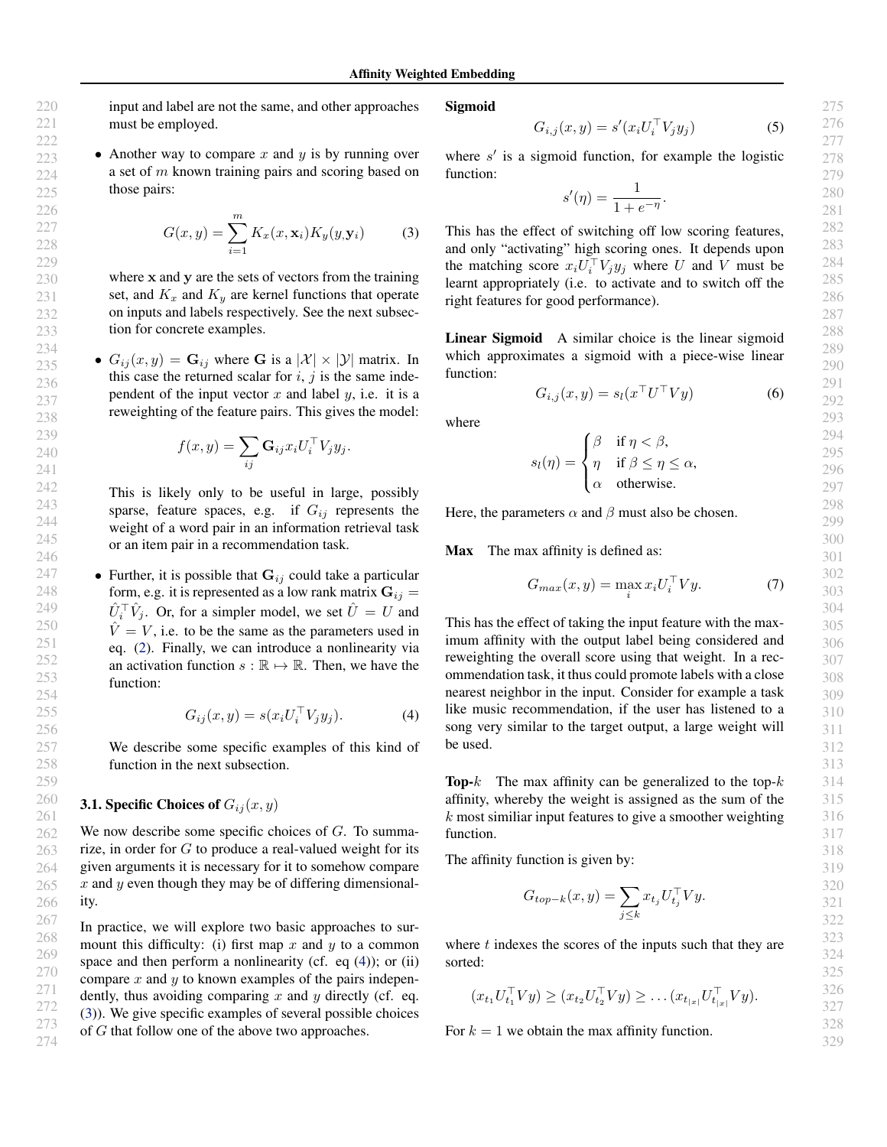274

<span id="page-2-0"></span>input and label are not the same, and other approaches must be employed.

## • Another way to compare x and y is by running over a set of  $m$  known training pairs and scoring based on those pairs:

$$
G(x,y) = \sum_{i=1}^{m} K_x(x, \mathbf{x}_i) K_y(y, \mathbf{y}_i)
$$
 (3)

where x and y are the sets of vectors from the training set, and  $K_x$  and  $K_y$  are kernel functions that operate on inputs and labels respectively. See the next subsection for concrete examples.

•  $G_{ij}(x, y) = \mathbf{G}_{ij}$  where G is a  $|\mathcal{X}| \times |\mathcal{Y}|$  matrix. In this case the returned scalar for  $i$ ,  $j$  is the same independent of the input vector  $x$  and label  $y$ , i.e. it is a reweighting of the feature pairs. This gives the model:

$$
f(x,y) = \sum_{ij} \mathbf{G}_{ij} x_i U_i^{\top} V_j y_j.
$$

This is likely only to be useful in large, possibly sparse, feature spaces, e.g. if  $G_{ij}$  represents the weight of a word pair in an information retrieval task or an item pair in a recommendation task.

• Further, it is possible that  $G_{ij}$  could take a particular form, e.g. it is represented as a low rank matrix  $G_{ij} =$  $\hat{U}_i^{\top} \hat{V}_j$ . Or, for a simpler model, we set  $\hat{U} = U$  and  $\hat{V} = V$ , i.e. to be the same as the parameters used in eq. [\(2\)](#page-1-0). Finally, we can introduce a nonlinearity via an activation function  $s : \mathbb{R} \to \mathbb{R}$ . Then, we have the function:

$$
G_{ij}(x,y) = s(x_i U_i^\top V_j y_j). \tag{4}
$$

We describe some specific examples of this kind of function in the next subsection.

## **3.1. Specific Choices of**  $G_{ij}(x, y)$

We now describe some specific choices of  $G$ . To summarize, in order for  $G$  to produce a real-valued weight for its given arguments it is necessary for it to somehow compare  $x$  and  $y$  even though they may be of differing dimensionality.

In practice, we will explore two basic approaches to surmount this difficulty: (i) first map  $x$  and  $y$  to a common space and then perform a nonlinearity (cf. eq  $(4)$ ); or (ii) compare  $x$  and  $y$  to known examples of the pairs independently, thus avoiding comparing  $x$  and  $y$  directly (cf. eq. (3)). We give specific examples of several possible choices of G that follow one of the above two approaches.

Sigmoid

$$
G_{i,j}(x,y) = s'(x_i U_i^\top V_j y_j) \tag{5}
$$

where  $s'$  is a sigmoid function, for example the logistic function:

$$
s'(\eta) = \frac{1}{1 + e^{-\eta}}.
$$

This has the effect of switching off low scoring features, and only "activating" high scoring ones. It depends upon the matching score  $x_i U_i^{\top} V_j y_j$  where U and V must be learnt appropriately (i.e. to activate and to switch off the right features for good performance).

Linear Sigmoid A similar choice is the linear sigmoid which approximates a sigmoid with a piece-wise linear function:

$$
G_{i,j}(x,y) = s_l(x^\top U^\top V y)
$$
 (6)

where

$$
s_l(\eta) = \begin{cases} \beta & \text{if } \eta < \beta, \\ \eta & \text{if } \beta \le \eta \le \alpha, \\ \alpha & \text{otherwise.} \end{cases}
$$

Here, the parameters  $\alpha$  and  $\beta$  must also be chosen.

Max The max affinity is defined as:

$$
G_{max}(x, y) = \max_{i} x_i U_i^{\top} V y.
$$
 (7)

This has the effect of taking the input feature with the maximum affinity with the output label being considered and reweighting the overall score using that weight. In a recommendation task, it thus could promote labels with a close nearest neighbor in the input. Consider for example a task like music recommendation, if the user has listened to a song very similar to the target output, a large weight will be used.

**Top-** $k$  The max affinity can be generalized to the top- $k$ affinity, whereby the weight is assigned as the sum of the  $k$  most similiar input features to give a smoother weighting function.

The affinity function is given by:

$$
G_{top-k}(x,y) = \sum_{j \le k} x_{t_j} U_{t_j}^{\top} V y.
$$

where  $t$  indexes the scores of the inputs such that they are sorted:

$$
(x_{t_1}U_{t_1}^{\top}Vy) \ge (x_{t_2}U_{t_2}^{\top}Vy) \ge \dots (x_{t_{|x|}}U_{t_{|x|}}^{\top}Vy).
$$

For  $k = 1$  we obtain the max affinity function.

329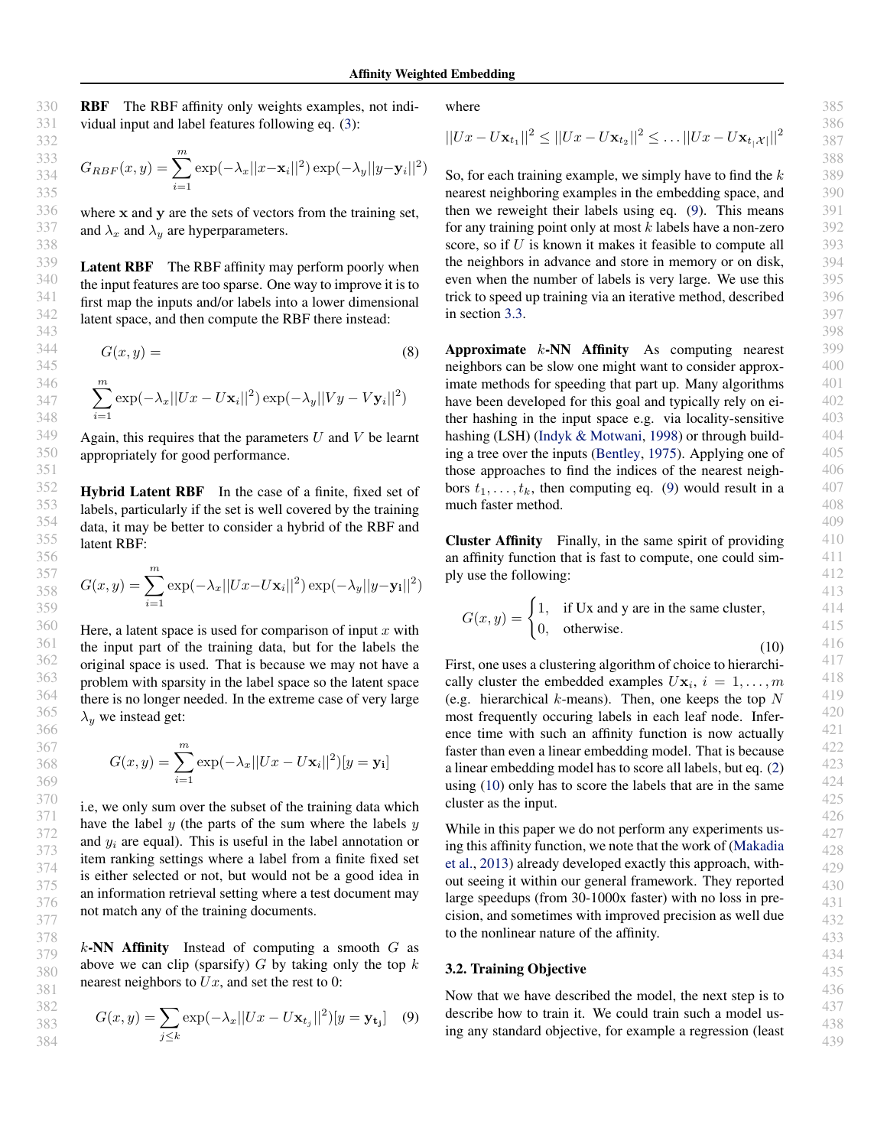<span id="page-3-0"></span>RBF The RBF affinity only weights examples, not individual input and label features following eq. [\(3\)](#page-2-0):

$$
G_{RBF}(x,y) = \sum_{i=1}^{m} \exp(-\lambda_x ||x - \mathbf{x}_i||^2) \exp(-\lambda_y ||y - \mathbf{y}_i||^2)
$$

where x and y are the sets of vectors from the training set, and  $\lambda_x$  and  $\lambda_y$  are hyperparameters.

Latent RBF The RBF affinity may perform poorly when the input features are too sparse. One way to improve it is to first map the inputs and/or labels into a lower dimensional latent space, and then compute the RBF there instead:

$$
G(x, y) = (8)
$$

$$
\sum_{i=1}^{m} \exp(-\lambda_x ||Ux - U\mathbf{x}_i||^2) \exp(-\lambda_y ||Vy - V\mathbf{y}_i||^2)
$$

Again, this requires that the parameters  $U$  and  $V$  be learnt appropriately for good performance.

Hybrid Latent RBF In the case of a finite, fixed set of labels, particularly if the set is well covered by the training data, it may be better to consider a hybrid of the RBF and latent RBF:

$$
G(x,y) = \sum_{i=1}^{m} \exp(-\lambda_x ||Ux - U\mathbf{x}_i||^2) \exp(-\lambda_y ||y - \mathbf{y}_i||^2)
$$

Here, a latent space is used for comparison of input  $x$  with the input part of the training data, but for the labels the original space is used. That is because we may not have a problem with sparsity in the label space so the latent space there is no longer needed. In the extreme case of very large  $\lambda_y$  we instead get:

$$
G(x,y) = \sum_{i=1}^{m} \exp(-\lambda_x ||Ux - U\mathbf{x}_i||^2)[y = \mathbf{y}_i]
$$

i.e, we only sum over the subset of the training data which have the label  $y$  (the parts of the sum where the labels  $y$ and  $y_i$  are equal). This is useful in the label annotation or item ranking settings where a label from a finite fixed set is either selected or not, but would not be a good idea in an information retrieval setting where a test document may not match any of the training documents.

 $k$ -NN Affinity Instead of computing a smooth  $G$  as above we can clip (sparsify)  $G$  by taking only the top  $k$ nearest neighbors to  $Ux$ , and set the rest to 0:

$$
G(x,y) = \sum_{j \le k} \exp(-\lambda_x ||Ux - U\mathbf{x}_{t_j}||^2) [y = \mathbf{y}_{t_j}] \quad (9)
$$

where

$$
||Ux - U\mathbf{x}_{t_1}||^2 \le ||Ux - U\mathbf{x}_{t_2}||^2 \le ... \, ||Ux - U\mathbf{x}_{t_1}||^2
$$

So, for each training example, we simply have to find the  $k$ nearest neighboring examples in the embedding space, and then we reweight their labels using eq. (9). This means for any training point only at most  $k$  labels have a non-zero score, so if U is known it makes it feasible to compute all the neighbors in advance and store in memory or on disk, even when the number of labels is very large. We use this trick to speed up training via an iterative method, described in section [3.3.](#page-4-0)

Approximate k-NN Affinity As computing nearest neighbors can be slow one might want to consider approximate methods for speeding that part up. Many algorithms have been developed for this goal and typically rely on either hashing in the input space e.g. via locality-sensitive hashing (LSH) [\(Indyk & Motwani,](#page-8-0) [1998\)](#page-8-0) or through building a tree over the inputs [\(Bentley,](#page-8-0) [1975\)](#page-8-0). Applying one of those approaches to find the indices of the nearest neighbors  $t_1, \ldots, t_k$ , then computing eq. (9) would result in a much faster method.

Cluster Affinity Finally, in the same spirit of providing an affinity function that is fast to compute, one could simply use the following:

$$
G(x, y) = \begin{cases} 1, & \text{if } \text{Ux and } y \text{ are in the same cluster,} \\ 0, & \text{otherwise.} \end{cases}
$$

(10)

First, one uses a clustering algorithm of choice to hierarchically cluster the embedded examples  $U\mathbf{x}_i$ ,  $i = 1, \ldots, m$ (e.g. hierarchical  $k$ -means). Then, one keeps the top  $N$ most frequently occuring labels in each leaf node. Inference time with such an affinity function is now actually faster than even a linear embedding model. That is because a linear embedding model has to score all labels, but eq. [\(2\)](#page-1-0) using (10) only has to score the labels that are in the same cluster as the input.

While in this paper we do not perform any experiments using this affinity function, we note that the work of [\(Makadia](#page-8-0) [et al.,](#page-8-0) [2013\)](#page-8-0) already developed exactly this approach, without seeing it within our general framework. They reported large speedups (from 30-1000x faster) with no loss in precision, and sometimes with improved precision as well due to the nonlinear nature of the affinity.

#### 3.2. Training Objective

Now that we have described the model, the next step is to describe how to train it. We could train such a model using any standard objective, for example a regression (least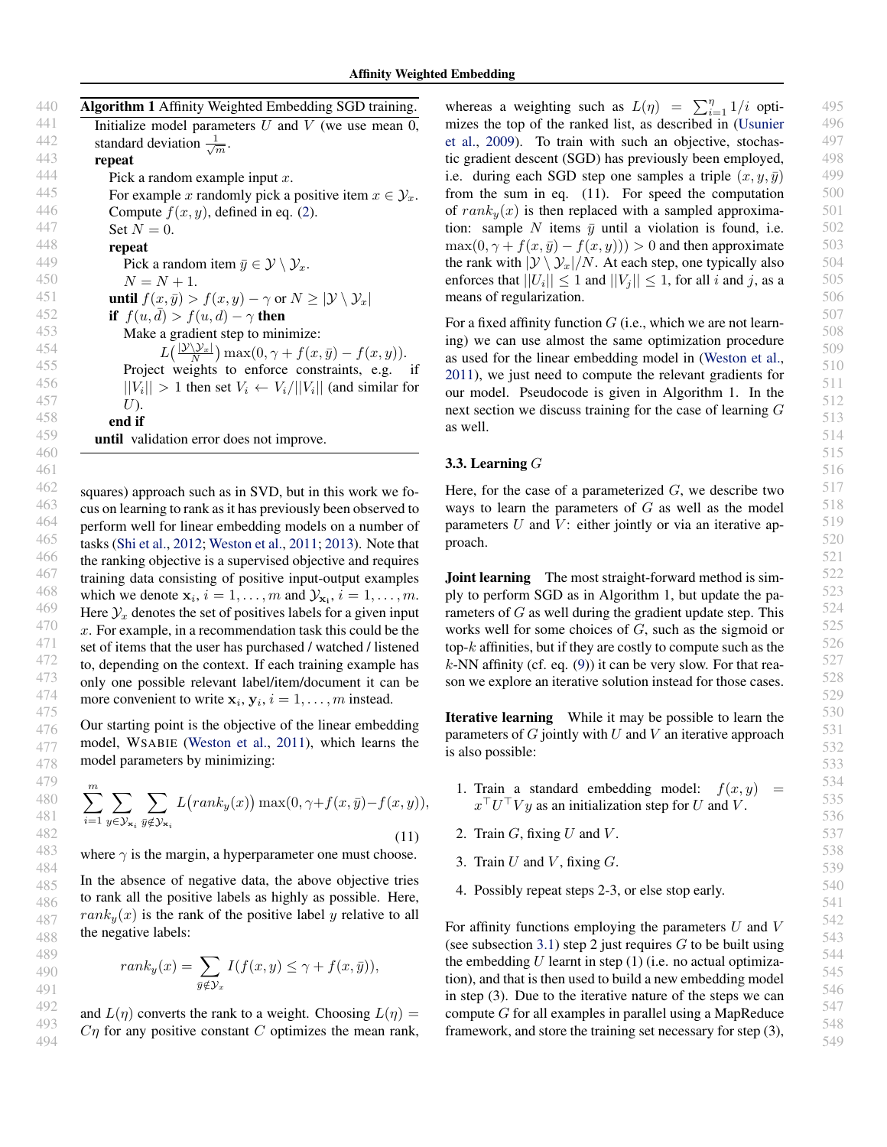<span id="page-4-0"></span>

| 440 | Algorithm 1 Affinity Weighted Embedding SGD training.                                                    |
|-----|----------------------------------------------------------------------------------------------------------|
| 441 | Initialize model parameters $U$ and $V$ (we use mean 0,                                                  |
| 442 | standard deviation $\frac{1}{\sqrt{m}}$ .                                                                |
| 443 | repeat                                                                                                   |
| 444 | Pick a random example input $x$ .                                                                        |
| 445 | For example x randomly pick a positive item $x \in \mathcal{Y}_x$ .                                      |
| 446 | Compute $f(x, y)$ , defined in eq. (2).                                                                  |
| 447 | Set $N=0$ .                                                                                              |
| 448 | repeat                                                                                                   |
| 449 | Pick a random item $\bar{y} \in \mathcal{Y} \setminus \mathcal{Y}_x$ .                                   |
| 450 | $N = N + 1.$                                                                                             |
| 451 | <b>until</b> $f(x, \bar{y}) > f(x, y) - \gamma$ or $N \geq  \mathcal{Y} \setminus \mathcal{Y}_x $        |
| 452 | if $f(u, d) > f(u, d) - \gamma$ then                                                                     |
| 453 | Make a gradient step to minimize:                                                                        |
| 454 | $L\left(\frac{ \mathcal{Y}\setminus\mathcal{Y}_x }{N}\right) \max(0, \gamma + f(x, \bar{y}) - f(x, y)).$ |
| 455 | Project weights to enforce constraints, e.g. if                                                          |
| 456 | $  V_i   > 1$ then set $V_i \leftarrow V_i/  V_i  $ (and similar for                                     |
| 457 | U).                                                                                                      |
| 458 | end if                                                                                                   |
| 459 | <b>until</b> validation error does not improve.                                                          |
| 460 |                                                                                                          |

462 463 464 465 466 467 468 469 470 471 472 473 474 475 squares) approach such as in SVD, but in this work we focus on learning to rank as it has previously been observed to perform well for linear embedding models on a number of tasks [\(Shi et al.,](#page-8-0) [2012;](#page-8-0) [Weston et al.,](#page-9-0) [2011;](#page-9-0) [2013\)](#page-9-0). Note that the ranking objective is a supervised objective and requires training data consisting of positive input-output examples which we denote  $\mathbf{x}_i$ ,  $i = 1, \dots, m$  and  $\mathcal{Y}_{\mathbf{x}_i}$ ,  $i = 1, \dots, m$ . Here  $\mathcal{Y}_x$  denotes the set of positives labels for a given input x. For example, in a recommendation task this could be the set of items that the user has purchased / watched / listened to, depending on the context. If each training example has only one possible relevant label/item/document it can be more convenient to write  $x_i, y_i, i = 1, \ldots, m$  instead.

461

Our starting point is the objective of the linear embedding model, WSABIE [\(Weston et al.,](#page-9-0) [2011\)](#page-9-0), which learns the model parameters by minimizing:

$$
\sum_{i=1}^{m} \sum_{y \in \mathcal{Y}_{\mathbf{x}_i}} \sum_{\bar{y} \notin \mathcal{Y}_{\mathbf{x}_i}} L\big( rank_y(x)\big) \max(0, \gamma + f(x, \bar{y}) - f(x, y)),\tag{11}
$$

where  $\gamma$  is the margin, a hyperparameter one must choose.

In the absence of negative data, the above objective tries to rank all the positive labels as highly as possible. Here,  $rank<sub>y</sub>(x)$  is the rank of the positive label y relative to all the negative labels:

$$
rank_y(x) = \sum_{\bar{y} \notin \mathcal{Y}_x} I(f(x, y) \le \gamma + f(x, \bar{y})),
$$

and  $L(\eta)$  converts the rank to a weight. Choosing  $L(\eta)$  =  $C_{\eta}$  for any positive constant C optimizes the mean rank,

whereas a weighting such as  $L(\eta) = \sum_{i=1}^{\eta} 1/i$  optimizes the top of the ranked list, as described in [\(Usunier](#page-9-0) [et al.,](#page-9-0) [2009\)](#page-9-0). To train with such an objective, stochastic gradient descent (SGD) has previously been employed, i.e. during each SGD step one samples a triple  $(x, y, \bar{y})$ from the sum in eq. (11). For speed the computation of  $rank_u(x)$  is then replaced with a sampled approximation: sample N items  $\bar{y}$  until a violation is found, i.e.  $\max(0, \gamma + f(x, \bar{y}) - f(x, y))) > 0$  and then approximate the rank with  $|\mathcal{Y} \setminus \mathcal{Y}_x|/N$ . At each step, one typically also enforces that  $||U_i|| \leq 1$  and  $||V_j|| \leq 1$ , for all i and j, as a means of regularization.

For a fixed affinity function  $G$  (i.e., which we are not learning) we can use almost the same optimization procedure as used for the linear embedding model in [\(Weston et al.,](#page-9-0) [2011\)](#page-9-0), we just need to compute the relevant gradients for our model. Pseudocode is given in Algorithm 1. In the next section we discuss training for the case of learning G as well.

#### 3.3. Learning G

Here, for the case of a parameterized  $G$ , we describe two ways to learn the parameters of  $G$  as well as the model parameters  $U$  and  $V$ : either jointly or via an iterative approach.

**Joint learning** The most straight-forward method is simply to perform SGD as in Algorithm 1, but update the parameters of  $G$  as well during the gradient update step. This works well for some choices of G, such as the sigmoid or top- $k$  affinities, but if they are costly to compute such as the  $k$ -NN affinity (cf. eq. [\(9\)](#page-3-0)) it can be very slow. For that reason we explore an iterative solution instead for those cases.

Iterative learning While it may be possible to learn the parameters of  $G$  jointly with  $U$  and  $V$  an iterative approach is also possible:

- 1. Train a standard embedding model:  $f(x, y) =$  $x^{\top}U^{\top}Vy$  as an initialization step for U and V.
- 2. Train  $G$ , fixing  $U$  and  $V$ .
- 3. Train  $U$  and  $V$ , fixing  $G$ .
- 4. Possibly repeat steps 2-3, or else stop early.

For affinity functions employing the parameters  $U$  and  $V$ (see subsection [3.1\)](#page-2-0) step 2 just requires  $G$  to be built using the embedding  $U$  learnt in step (1) (i.e. no actual optimization), and that is then used to build a new embedding model in step (3). Due to the iterative nature of the steps we can compute G for all examples in parallel using a MapReduce framework, and store the training set necessary for step (3),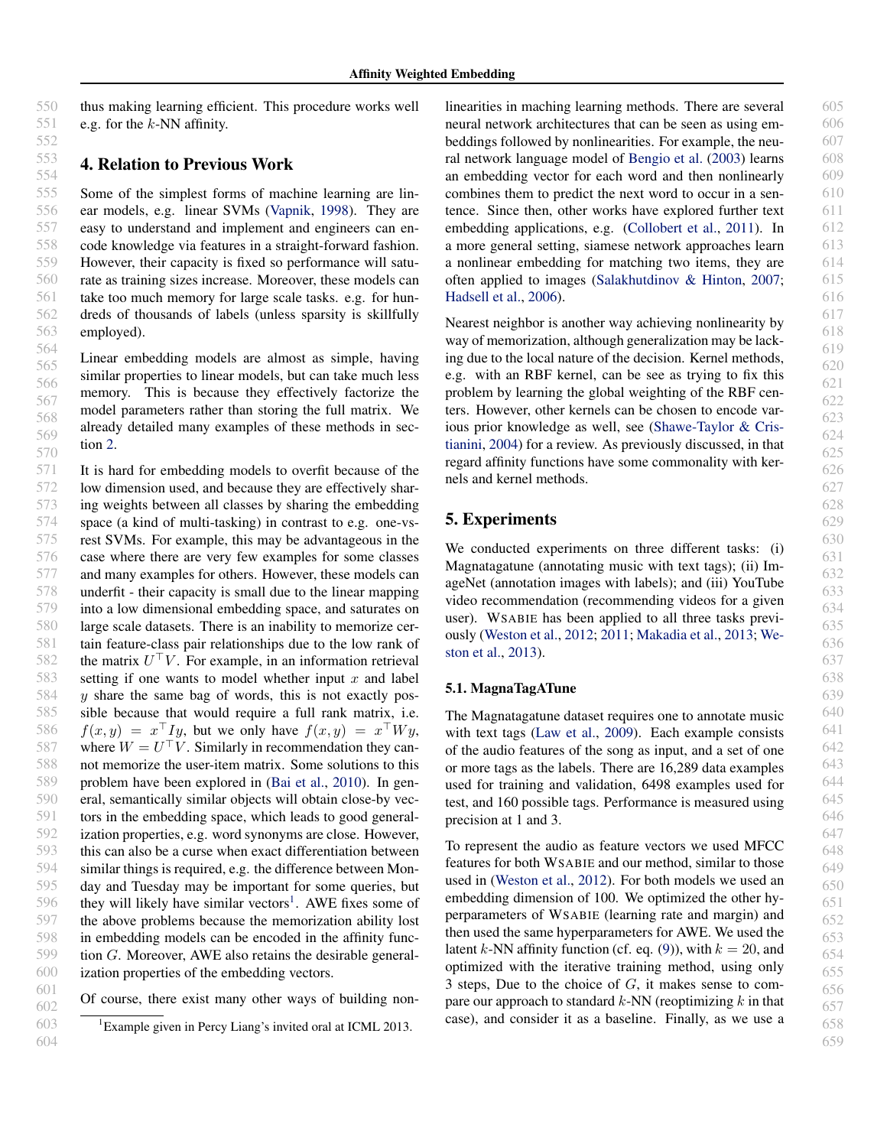<span id="page-5-0"></span>thus making learning efficient. This procedure works well e.g. for the  $k$ -NN affinity.

#### 4. Relation to Previous Work

555 556 557 558 559 560 561 562 563 Some of the simplest forms of machine learning are linear models, e.g. linear SVMs [\(Vapnik,](#page-9-0) [1998\)](#page-9-0). They are easy to understand and implement and engineers can encode knowledge via features in a straight-forward fashion. However, their capacity is fixed so performance will saturate as training sizes increase. Moreover, these models can take too much memory for large scale tasks. e.g. for hundreds of thousands of labels (unless sparsity is skillfully employed).

564 565 566 567 568 569 570 Linear embedding models are almost as simple, having similar properties to linear models, but can take much less memory. This is because they effectively factorize the model parameters rather than storing the full matrix. We already detailed many examples of these methods in section [2.](#page-0-0)

571 572 573 574 575 576 577 578 579 580 581 582 583 584 585 586 587 588 589 590 591 592 593 594 595 596 597 598 599 600 It is hard for embedding models to overfit because of the low dimension used, and because they are effectively sharing weights between all classes by sharing the embedding space (a kind of multi-tasking) in contrast to e.g. one-vsrest SVMs. For example, this may be advantageous in the case where there are very few examples for some classes and many examples for others. However, these models can underfit - their capacity is small due to the linear mapping into a low dimensional embedding space, and saturates on large scale datasets. There is an inability to memorize certain feature-class pair relationships due to the low rank of the matrix  $U^{\top}V$ . For example, in an information retrieval setting if one wants to model whether input  $x$  and label  $y$  share the same bag of words, this is not exactly possible because that would require a full rank matrix, i.e.  $f(x, y) = x^{\top} I y$ , but we only have  $f(x, y) = x^{\top} W y$ , where  $W = U^{\top}V$ . Similarly in recommendation they cannot memorize the user-item matrix. Some solutions to this problem have been explored in [\(Bai et al.,](#page-7-0) [2010\)](#page-7-0). In general, semantically similar objects will obtain close-by vectors in the embedding space, which leads to good generalization properties, e.g. word synonyms are close. However, this can also be a curse when exact differentiation between similar things is required, e.g. the difference between Monday and Tuesday may be important for some queries, but they will likely have similar vectors<sup>1</sup>. AWE fixes some of the above problems because the memorization ability lost in embedding models can be encoded in the affinity function G. Moreover, AWE also retains the desirable generalization properties of the embedding vectors.

601 602 Of course, there exist many other ways of building non-

linearities in maching learning methods. There are several neural network architectures that can be seen as using embeddings followed by nonlinearities. For example, the neural network language model of [Bengio et al.](#page-8-0) [\(2003\)](#page-8-0) learns an embedding vector for each word and then nonlinearly combines them to predict the next word to occur in a sentence. Since then, other works have explored further text embedding applications, e.g. [\(Collobert et al.,](#page-8-0) [2011\)](#page-8-0). In a more general setting, siamese network approaches learn a nonlinear embedding for matching two items, they are often applied to images [\(Salakhutdinov & Hinton,](#page-8-0) [2007;](#page-8-0) [Hadsell et al.,](#page-8-0) [2006\)](#page-8-0).

Nearest neighbor is another way achieving nonlinearity by way of memorization, although generalization may be lacking due to the local nature of the decision. Kernel methods, e.g. with an RBF kernel, can be see as trying to fix this problem by learning the global weighting of the RBF centers. However, other kernels can be chosen to encode various prior knowledge as well, see [\(Shawe-Taylor & Cris](#page-8-0)[tianini,](#page-8-0) [2004\)](#page-8-0) for a review. As previously discussed, in that regard affinity functions have some commonality with kernels and kernel methods.

## 5. Experiments

We conducted experiments on three different tasks: (i) Magnatagatune (annotating music with text tags); (ii) ImageNet (annotation images with labels); and (iii) YouTube video recommendation (recommending videos for a given user). WSABIE has been applied to all three tasks previously [\(Weston et al.,](#page-9-0) [2012;](#page-9-0) [2011;](#page-9-0) [Makadia et al.,](#page-8-0) [2013;](#page-8-0) [We](#page-9-0)[ston et al.,](#page-9-0) [2013\)](#page-9-0).

#### 5.1. MagnaTagATune

The Magnatagatune dataset requires one to annotate music with text tags [\(Law et al.,](#page-8-0) [2009\)](#page-8-0). Each example consists of the audio features of the song as input, and a set of one or more tags as the labels. There are 16,289 data examples used for training and validation, 6498 examples used for test, and 160 possible tags. Performance is measured using precision at 1 and 3.

To represent the audio as feature vectors we used MFCC features for both WSABIE and our method, similar to those used in [\(Weston et al.,](#page-9-0) [2012\)](#page-9-0). For both models we used an embedding dimension of 100. We optimized the other hyperparameters of WSABIE (learning rate and margin) and then used the same hyperparameters for AWE. We used the latent k-NN affinity function (cf. eq. [\(9\)](#page-3-0)), with  $k = 20$ , and optimized with the iterative training method, using only 3 steps, Due to the choice of  $G$ , it makes sense to compare our approach to standard  $k$ -NN (reoptimizing  $k$  in that case), and consider it as a baseline. Finally, as we use a

<sup>603</sup> 604 <sup>1</sup> Example given in Percy Liang's invited oral at ICML 2013.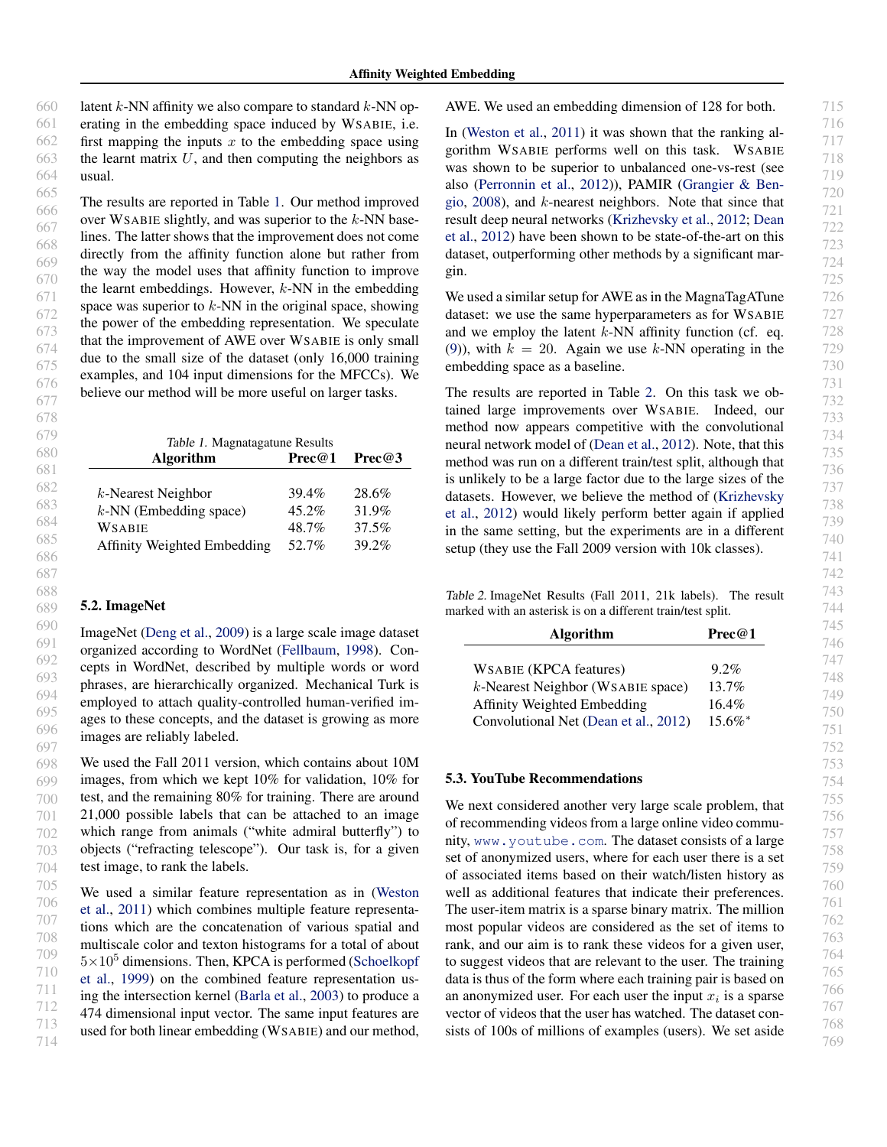660 661 662 663 664 latent  $k$ -NN affinity we also compare to standard  $k$ -NN operating in the embedding space induced by WSABIE, i.e. first mapping the inputs  $x$  to the embedding space using the learnt matrix  $U$ , and then computing the neighbors as usual.

665 666 667 668 669 670 671 672 673 674 675 676 677 The results are reported in Table 1. Our method improved over WSABIE slightly, and was superior to the  $k$ -NN baselines. The latter shows that the improvement does not come directly from the affinity function alone but rather from the way the model uses that affinity function to improve the learnt embeddings. However,  $k$ -NN in the embedding space was superior to  $k$ -NN in the original space, showing the power of the embedding representation. We speculate that the improvement of AWE over WSABIE is only small due to the small size of the dataset (only 16,000 training examples, and 104 input dimensions for the MFCCs). We believe our method will be more useful on larger tasks.

| Table 1. Magnatagatune Results |          |                   |
|--------------------------------|----------|-------------------|
| <b>Algorithm</b>               | Prec@1   | $\text{Prec} @ 3$ |
|                                |          |                   |
| $k$ -Nearest Neighbor          | $39.4\%$ | 28.6%             |
| $k$ -NN (Embedding space)      | $45.2\%$ | 31.9%             |
| WSABIE                         | 48.7%    | 37.5%             |
| Affinity Weighted Embedding    | 52.7%    | 39.2%             |

#### 5.2. ImageNet

ImageNet [\(Deng et al.,](#page-8-0) [2009\)](#page-8-0) is a large scale image dataset organized according to WordNet [\(Fellbaum,](#page-8-0) [1998\)](#page-8-0). Concepts in WordNet, described by multiple words or word phrases, are hierarchically organized. Mechanical Turk is employed to attach quality-controlled human-verified images to these concepts, and the dataset is growing as more images are reliably labeled.

698 699 700 701 702 703 704 We used the Fall 2011 version, which contains about 10M images, from which we kept 10% for validation, 10% for test, and the remaining 80% for training. There are around 21,000 possible labels that can be attached to an image which range from animals ("white admiral butterfly") to objects ("refracting telescope"). Our task is, for a given test image, to rank the labels.

705 706 707 708 709 710 711 712 713 714 We used a similar feature representation as in [\(Weston](#page-9-0) [et al.,](#page-9-0) [2011\)](#page-9-0) which combines multiple feature representations which are the concatenation of various spatial and multiscale color and texton histograms for a total of about  $5\times10^5$  dimensions. Then, KPCA is performed [\(Schoelkopf](#page-8-0) [et al.,](#page-8-0) [1999\)](#page-8-0) on the combined feature representation using the intersection kernel [\(Barla et al.,](#page-7-0) [2003\)](#page-7-0) to produce a 474 dimensional input vector. The same input features are used for both linear embedding (WSABIE) and our method,

AWE. We used an embedding dimension of 128 for both.

In [\(Weston et al.,](#page-9-0) [2011\)](#page-9-0) it was shown that the ranking algorithm WSABIE performs well on this task. WSABIE was shown to be superior to unbalanced one-vs-rest (see also [\(Perronnin et al.,](#page-8-0) [2012\)](#page-8-0)), PAMIR [\(Grangier & Ben](#page-8-0)[gio,](#page-8-0) [2008\)](#page-8-0), and k-nearest neighbors. Note that since that result deep neural networks [\(Krizhevsky et al.,](#page-8-0) [2012;](#page-8-0) [Dean](#page-8-0) [et al.,](#page-8-0) [2012\)](#page-8-0) have been shown to be state-of-the-art on this dataset, outperforming other methods by a significant margin.

We used a similar setup for AWE as in the MagnaTagATune dataset: we use the same hyperparameters as for WSABIE and we employ the latent  $k$ -NN affinity function (cf. eq. [\(9\)](#page-3-0)), with  $k = 20$ . Again we use k-NN operating in the embedding space as a baseline.

The results are reported in Table 2. On this task we obtained large improvements over WSABIE. Indeed, our method now appears competitive with the convolutional neural network model of [\(Dean et al.,](#page-8-0) [2012\)](#page-8-0). Note, that this method was run on a different train/test split, although that is unlikely to be a large factor due to the large sizes of the datasets. However, we believe the method of [\(Krizhevsky](#page-8-0) [et al.,](#page-8-0) [2012\)](#page-8-0) would likely perform better again if applied in the same setting, but the experiments are in a different setup (they use the Fall 2009 version with 10k classes).

Table 2. ImageNet Results (Fall 2011, 21k labels). The result marked with an asterisk is on a different train/test split.

| <b>Algorithm</b>                      | Prec@1                |
|---------------------------------------|-----------------------|
|                                       |                       |
| <b>WSABIE</b> (KPCA features)         | $9.2\%$               |
| $k$ -Nearest Neighbor (WSABIE space)  | $13.7\%$              |
| Affinity Weighted Embedding           | $16.4\%$              |
| Convolutional Net (Dean et al., 2012) | $15.6\%$ <sup>*</sup> |

#### 5.3. YouTube Recommendations

We next considered another very large scale problem, that of recommending videos from a large online video community, <www.youtube.com>. The dataset consists of a large set of anonymized users, where for each user there is a set of associated items based on their watch/listen history as well as additional features that indicate their preferences. The user-item matrix is a sparse binary matrix. The million most popular videos are considered as the set of items to rank, and our aim is to rank these videos for a given user, to suggest videos that are relevant to the user. The training data is thus of the form where each training pair is based on an anonymized user. For each user the input  $x_i$  is a sparse vector of videos that the user has watched. The dataset consists of 100s of millions of examples (users). We set aside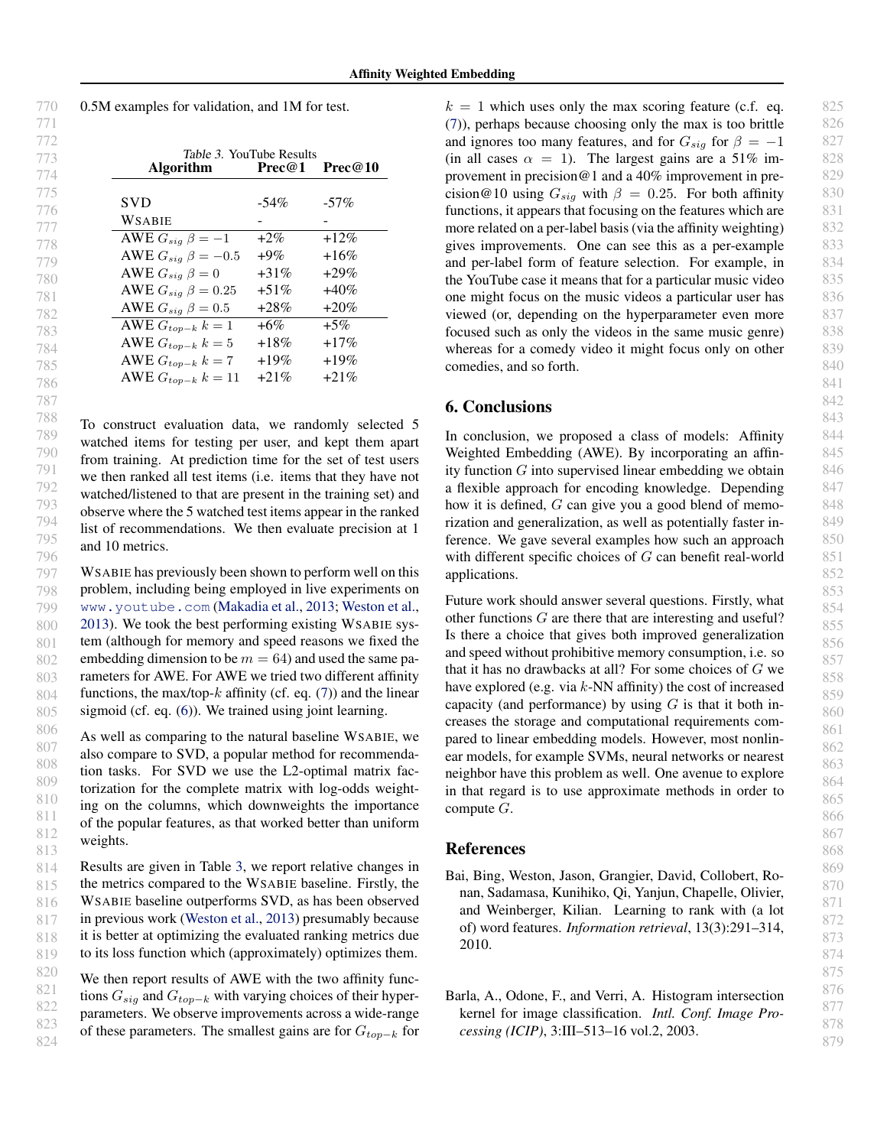<span id="page-7-0"></span>

| 770 | 0.5M examples for validation, and 1M for test. |
|-----|------------------------------------------------|
| 771 |                                                |

787

| 772 |                            |         |                    |
|-----|----------------------------|---------|--------------------|
| 773 | Table 3. YouTube Results   |         |                    |
| 774 | <b>Algorithm</b>           | Prec@1  | $\text{Prec} @ 10$ |
| 775 |                            |         |                    |
| 776 | <b>SVD</b>                 | $-54\%$ | $-57\%$            |
| 777 | WSABIE                     |         |                    |
| 778 | AWE $G_{sig} \beta = -1$   | $+2\%$  | $+12\%$            |
| 779 | AWE $G_{sig} \beta = -0.5$ | $+9\%$  | $+16\%$            |
| 780 | AWE $G_{sig} \beta = 0$    | $+31\%$ | $+29\%$            |
| 781 | AWE $G_{sig} \beta = 0.25$ | $+51\%$ | $+40\%$            |
| 782 | AWE $G_{sig} \beta = 0.5$  | $+28\%$ | $+20\%$            |
| 783 | AWE $G_{top-k}$ $k=1$      | $+6\%$  | $+5\%$             |
| 784 | AWE $G_{top-k} k = 5$      | $+18\%$ | $+17%$             |
| 785 | AWE $G_{top-k}$ $k = 7$    | $+19\%$ | $+19\%$            |
| 786 | AWE $G_{top-k} k = 11$     | $+21\%$ | $+21%$             |

788 789 790 791 792 793 794 795 796 To construct evaluation data, we randomly selected 5 watched items for testing per user, and kept them apart from training. At prediction time for the set of test users we then ranked all test items (i.e. items that they have not watched/listened to that are present in the training set) and observe where the 5 watched test items appear in the ranked list of recommendations. We then evaluate precision at 1 and 10 metrics.

797 798 799 800 801 802 803 804 805 WSABIE has previously been shown to perform well on this problem, including being employed in live experiments on <www.youtube.com> [\(Makadia et al.,](#page-8-0) [2013;](#page-8-0) [Weston et al.,](#page-9-0) [2013\)](#page-9-0). We took the best performing existing WSABIE system (although for memory and speed reasons we fixed the embedding dimension to be  $m = 64$ ) and used the same parameters for AWE. For AWE we tried two different affinity functions, the max/top- $k$  affinity (cf. eq. [\(7\)](#page-2-0)) and the linear sigmoid (cf. eq.  $(6)$ ). We trained using joint learning.

806 807 808 809 810 811 812 813 As well as comparing to the natural baseline WSABIE, we also compare to SVD, a popular method for recommendation tasks. For SVD we use the L2-optimal matrix factorization for the complete matrix with log-odds weighting on the columns, which downweights the importance of the popular features, as that worked better than uniform weights.

814 815 816 817 818 819 Results are given in Table 3, we report relative changes in the metrics compared to the WSABIE baseline. Firstly, the WSABIE baseline outperforms SVD, as has been observed in previous work [\(Weston et al.,](#page-9-0) [2013\)](#page-9-0) presumably because it is better at optimizing the evaluated ranking metrics due to its loss function which (approximately) optimizes them.

820 821 822 823 824 We then report results of AWE with the two affinity functions  $G_{sig}$  and  $G_{top-k}$  with varying choices of their hyperparameters. We observe improvements across a wide-range of these parameters. The smallest gains are for  $G_{top-k}$  for  $k = 1$  which uses only the max scoring feature (c.f. eq. [\(7\)](#page-2-0)), perhaps because choosing only the max is too brittle and ignores too many features, and for  $G_{sig}$  for  $\beta = -1$ (in all cases  $\alpha = 1$ ). The largest gains are a 51% improvement in precision@1 and a 40% improvement in precision@10 using  $G_{sia}$  with  $\beta = 0.25$ . For both affinity functions, it appears that focusing on the features which are more related on a per-label basis (via the affinity weighting) gives improvements. One can see this as a per-example and per-label form of feature selection. For example, in the YouTube case it means that for a particular music video one might focus on the music videos a particular user has viewed (or, depending on the hyperparameter even more focused such as only the videos in the same music genre) whereas for a comedy video it might focus only on other comedies, and so forth.

#### 6. Conclusions

In conclusion, we proposed a class of models: Affinity Weighted Embedding (AWE). By incorporating an affinity function  $G$  into supervised linear embedding we obtain a flexible approach for encoding knowledge. Depending how it is defined, G can give you a good blend of memorization and generalization, as well as potentially faster inference. We gave several examples how such an approach with different specific choices of  $G$  can benefit real-world applications.

Future work should answer several questions. Firstly, what other functions G are there that are interesting and useful? Is there a choice that gives both improved generalization and speed without prohibitive memory consumption, i.e. so that it has no drawbacks at all? For some choices of G we have explored (e.g. via  $k$ -NN affinity) the cost of increased capacity (and performance) by using  $G$  is that it both increases the storage and computational requirements compared to linear embedding models. However, most nonlinear models, for example SVMs, neural networks or nearest neighbor have this problem as well. One avenue to explore in that regard is to use approximate methods in order to compute G.

#### References

- Bai, Bing, Weston, Jason, Grangier, David, Collobert, Ronan, Sadamasa, Kunihiko, Qi, Yanjun, Chapelle, Olivier, and Weinberger, Kilian. Learning to rank with (a lot of) word features. *Information retrieval*, 13(3):291–314, 2010.
- Barla, A., Odone, F., and Verri, A. Histogram intersection kernel for image classification. *Intl. Conf. Image Processing (ICIP)*, 3:III–513–16 vol.2, 2003.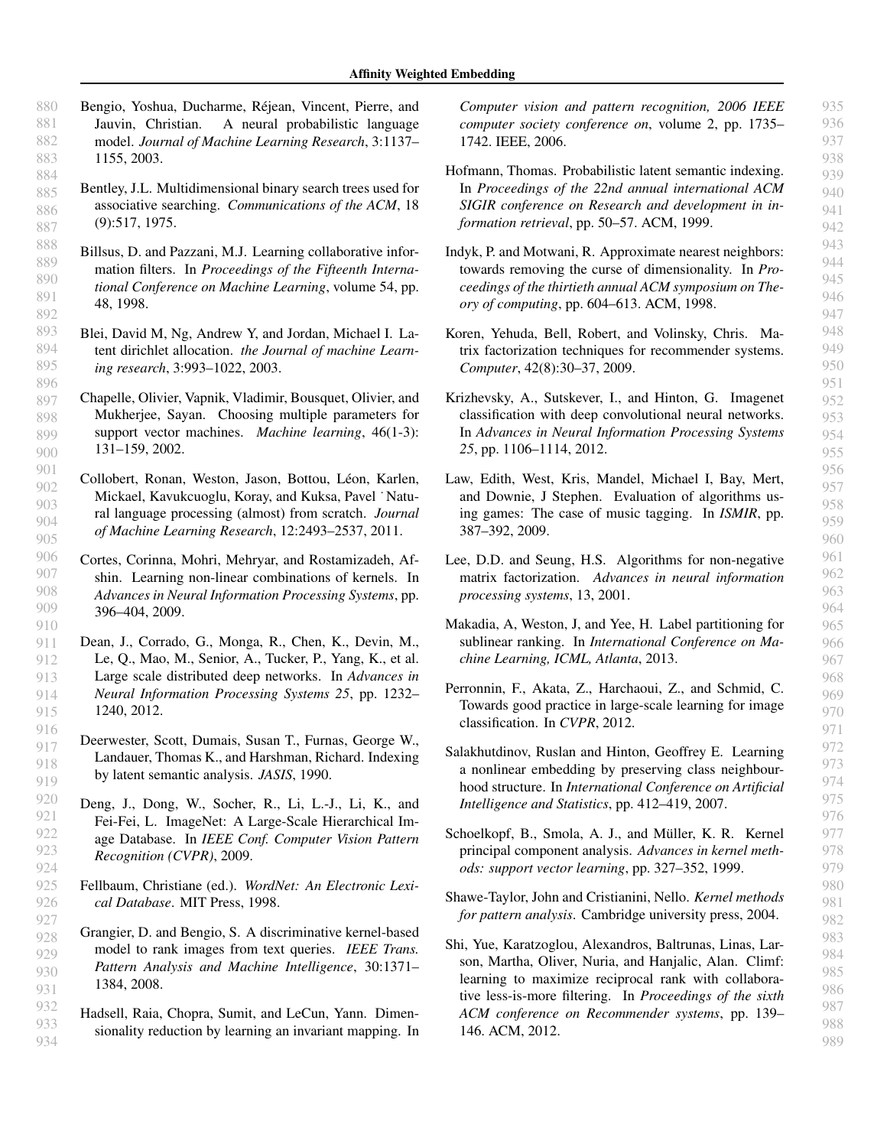- <span id="page-8-0"></span>880 881 882 883 Bengio, Yoshua, Ducharme, Rejean, Vincent, Pierre, and ´ Jauvin, Christian. A neural probabilistic language model. *Journal of Machine Learning Research*, 3:1137– 1155, 2003.
- 884 885 886 887 Bentley, J.L. Multidimensional binary search trees used for associative searching. *Communications of the ACM*, 18 (9):517, 1975.
- 888 889 890 891 892 Billsus, D. and Pazzani, M.J. Learning collaborative information filters. In *Proceedings of the Fifteenth International Conference on Machine Learning*, volume 54, pp. 48, 1998.
- 893 894 895 896 Blei, David M, Ng, Andrew Y, and Jordan, Michael I. Latent dirichlet allocation. *the Journal of machine Learning research*, 3:993–1022, 2003.
- 897 898 899 900 Chapelle, Olivier, Vapnik, Vladimir, Bousquet, Olivier, and Mukherjee, Sayan. Choosing multiple parameters for support vector machines. *Machine learning*, 46(1-3): 131–159, 2002.
- 901 902 903 904 905 Collobert, Ronan, Weston, Jason, Bottou, Léon, Karlen, Mickael, Kavukcuoglu, Koray, and Kuksa, Pavel ˙ Natural language processing (almost) from scratch. *Journal of Machine Learning Research*, 12:2493–2537, 2011.
- 906 907 908 909 910 Cortes, Corinna, Mohri, Mehryar, and Rostamizadeh, Afshin. Learning non-linear combinations of kernels. In *Advances in Neural Information Processing Systems*, pp. 396–404, 2009.
- 911 912 913 914 915 Dean, J., Corrado, G., Monga, R., Chen, K., Devin, M., Le, Q., Mao, M., Senior, A., Tucker, P., Yang, K., et al. Large scale distributed deep networks. In *Advances in Neural Information Processing Systems 25*, pp. 1232– 1240, 2012.
	- Deerwester, Scott, Dumais, Susan T., Furnas, George W., Landauer, Thomas K., and Harshman, Richard. Indexing by latent semantic analysis. *JASIS*, 1990.

932 933 934

- Deng, J., Dong, W., Socher, R., Li, L.-J., Li, K., and Fei-Fei, L. ImageNet: A Large-Scale Hierarchical Image Database. In *IEEE Conf. Computer Vision Pattern Recognition (CVPR)*, 2009.
- Fellbaum, Christiane (ed.). *WordNet: An Electronic Lexical Database*. MIT Press, 1998.
- 928 929 930 931 Grangier, D. and Bengio, S. A discriminative kernel-based model to rank images from text queries. *IEEE Trans. Pattern Analysis and Machine Intelligence*, 30:1371– 1384, 2008.
	- Hadsell, Raia, Chopra, Sumit, and LeCun, Yann. Dimensionality reduction by learning an invariant mapping. In

*Computer vision and pattern recognition, 2006 IEEE computer society conference on*, volume 2, pp. 1735– 1742. IEEE, 2006.

- Hofmann, Thomas. Probabilistic latent semantic indexing. In *Proceedings of the 22nd annual international ACM SIGIR conference on Research and development in information retrieval*, pp. 50–57. ACM, 1999.
- Indyk, P. and Motwani, R. Approximate nearest neighbors: towards removing the curse of dimensionality. In *Proceedings of the thirtieth annual ACM symposium on Theory of computing*, pp. 604–613. ACM, 1998.
- Koren, Yehuda, Bell, Robert, and Volinsky, Chris. Matrix factorization techniques for recommender systems. *Computer*, 42(8):30–37, 2009.
- Krizhevsky, A., Sutskever, I., and Hinton, G. Imagenet classification with deep convolutional neural networks. In *Advances in Neural Information Processing Systems 25*, pp. 1106–1114, 2012.
- Law, Edith, West, Kris, Mandel, Michael I, Bay, Mert, and Downie, J Stephen. Evaluation of algorithms using games: The case of music tagging. In *ISMIR*, pp. 387–392, 2009.
- Lee, D.D. and Seung, H.S. Algorithms for non-negative matrix factorization. *Advances in neural information processing systems*, 13, 2001.
- Makadia, A, Weston, J, and Yee, H. Label partitioning for sublinear ranking. In *International Conference on Machine Learning, ICML, Atlanta*, 2013.
- Perronnin, F., Akata, Z., Harchaoui, Z., and Schmid, C. Towards good practice in large-scale learning for image classification. In *CVPR*, 2012.
- Salakhutdinov, Ruslan and Hinton, Geoffrey E. Learning a nonlinear embedding by preserving class neighbourhood structure. In *International Conference on Artificial Intelligence and Statistics*, pp. 412–419, 2007.
- Schoelkopf, B., Smola, A. J., and Müller, K. R. Kernel principal component analysis. *Advances in kernel methods: support vector learning*, pp. 327–352, 1999.
- Shawe-Taylor, John and Cristianini, Nello. *Kernel methods for pattern analysis*. Cambridge university press, 2004.
- Shi, Yue, Karatzoglou, Alexandros, Baltrunas, Linas, Larson, Martha, Oliver, Nuria, and Hanjalic, Alan. Climf: learning to maximize reciprocal rank with collaborative less-is-more filtering. In *Proceedings of the sixth ACM conference on Recommender systems*, pp. 139– 146. ACM, 2012.